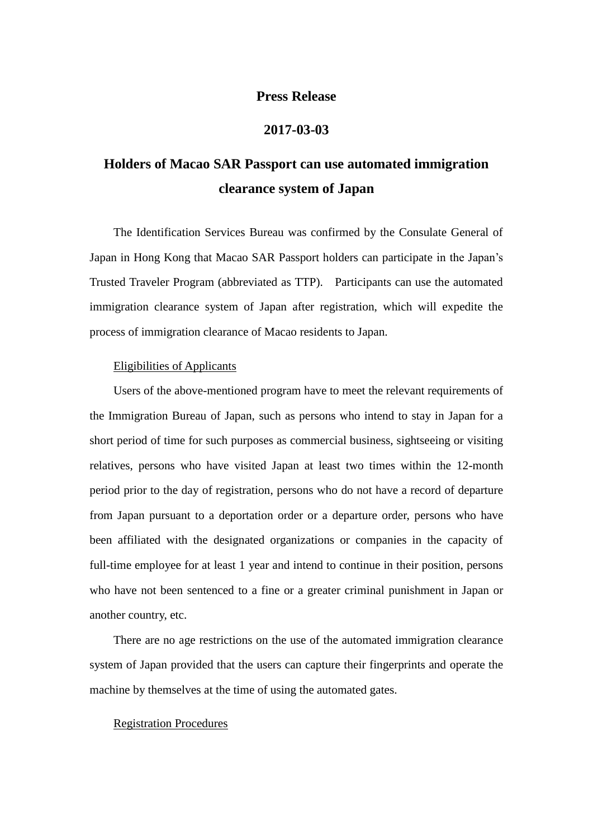## **Press Release**

## **2017-03-03**

# **Holders of Macao SAR Passport can use automated immigration clearance system of Japan**

 The Identification Services Bureau was confirmed by the Consulate General of Japan in Hong Kong that Macao SAR Passport holders can participate in the Japan's Trusted Traveler Program (abbreviated as TTP). Participants can use the automated immigration clearance system of Japan after registration, which will expedite the process of immigration clearance of Macao residents to Japan.

#### Eligibilities of Applicants

Users of the above-mentioned program have to meet the relevant requirements of the Immigration Bureau of Japan, such as persons who intend to stay in Japan for a short period of time for such purposes as commercial business, sightseeing or visiting relatives, persons who have visited Japan at least two times within the 12-month period prior to the day of registration, persons who do not have a record of departure from Japan pursuant to a deportation order or a departure order, persons who have been affiliated with the designated organizations or companies in the capacity of full-time employee for at least 1 year and intend to continue in their position, persons who have not been sentenced to a fine or a greater criminal punishment in Japan or another country, etc.

 There are no age restrictions on the use of the automated immigration clearance system of Japan provided that the users can capture their fingerprints and operate the machine by themselves at the time of using the automated gates.

### Registration Procedures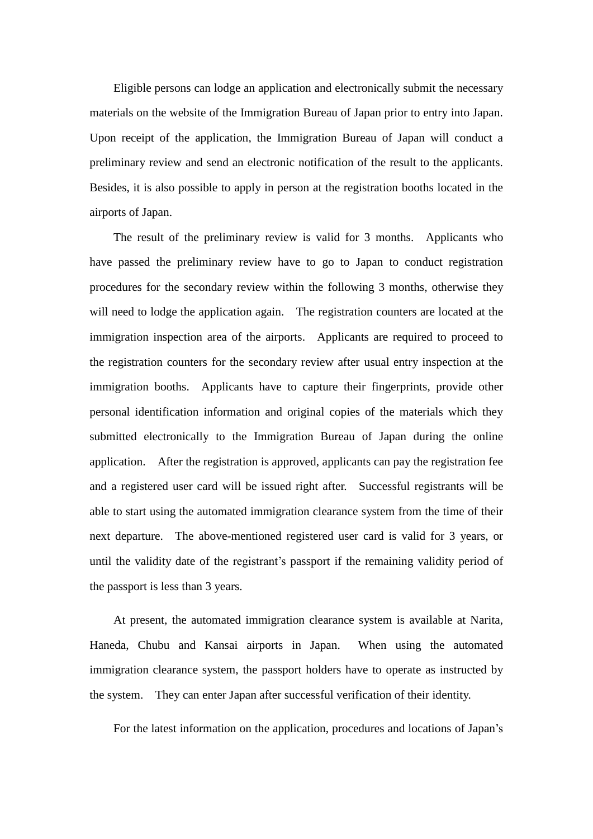Eligible persons can lodge an application and electronically submit the necessary materials on the website of the Immigration Bureau of Japan prior to entry into Japan. Upon receipt of the application, the Immigration Bureau of Japan will conduct a preliminary review and send an electronic notification of the result to the applicants. Besides, it is also possible to apply in person at the registration booths located in the airports of Japan.

 The result of the preliminary review is valid for 3 months. Applicants who have passed the preliminary review have to go to Japan to conduct registration procedures for the secondary review within the following 3 months, otherwise they will need to lodge the application again. The registration counters are located at the immigration inspection area of the airports. Applicants are required to proceed to the registration counters for the secondary review after usual entry inspection at the immigration booths. Applicants have to capture their fingerprints, provide other personal identification information and original copies of the materials which they submitted electronically to the Immigration Bureau of Japan during the online application. After the registration is approved, applicants can pay the registration fee and a registered user card will be issued right after. Successful registrants will be able to start using the automated immigration clearance system from the time of their next departure. The above-mentioned registered user card is valid for 3 years, or until the validity date of the registrant's passport if the remaining validity period of the passport is less than 3 years.

 At present, the automated immigration clearance system is available at Narita, Haneda, Chubu and Kansai airports in Japan. When using the automated immigration clearance system, the passport holders have to operate as instructed by the system. They can enter Japan after successful verification of their identity.

For the latest information on the application, procedures and locations of Japan's